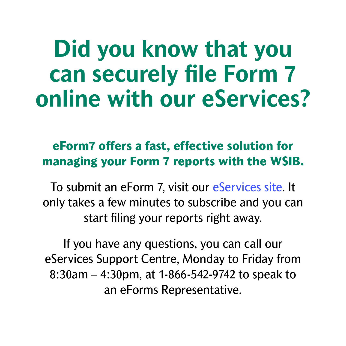### **Did you know that you can securely file Form 7 online with our eServices?**

### **eForm7 offers a fast, effective solution for managing your Form 7 reports with the WSIB.**

To submit an eForm 7, visit our [eServices site.](https://eservices.wsib.on.ca/portal/server.pt/community/eservices_home/206) It only takes a few minutes to subscribe and you can start filing your reports right away.

If you have any questions, you can call our eServices Support Centre, Monday to Friday from 8:30am – 4:30pm, at 1-866-542-9742 to speak to an eForms Representative.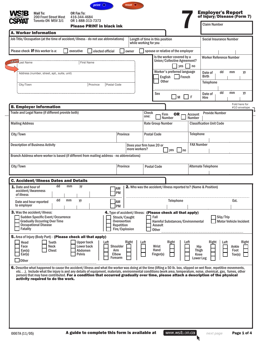<span id="page-1-0"></span>

|                                                         | Toronto ON M5V 3J1                                                                                                                                                                                                                                                                                                                                                                                                                                                                                               | OR 1-888-313-7373                                           | <b>Please PRINT in black ink</b> |                                                                      |               |                           |                                 |                                                                                                |                                                 | <b>Claim Number</b>             |                                            |                                  |
|---------------------------------------------------------|------------------------------------------------------------------------------------------------------------------------------------------------------------------------------------------------------------------------------------------------------------------------------------------------------------------------------------------------------------------------------------------------------------------------------------------------------------------------------------------------------------------|-------------------------------------------------------------|----------------------------------|----------------------------------------------------------------------|---------------|---------------------------|---------------------------------|------------------------------------------------------------------------------------------------|-------------------------------------------------|---------------------------------|--------------------------------------------|----------------------------------|
|                                                         | <b>A. Worker Information</b><br>Job Title/Occupation (at the time of accident/illness - do not use abbreviations)                                                                                                                                                                                                                                                                                                                                                                                                |                                                             |                                  |                                                                      |               | while working for you     | Length of time in this position |                                                                                                |                                                 | <b>Social Insurance Number</b>  |                                            |                                  |
|                                                         | Please check <b>if</b> this worker is a:                                                                                                                                                                                                                                                                                                                                                                                                                                                                         | executive                                                   | elected official                 |                                                                      | owner         |                           |                                 | spouse or relative of the employer                                                             |                                                 |                                 |                                            |                                  |
| start  <br>.ast Name                                    |                                                                                                                                                                                                                                                                                                                                                                                                                                                                                                                  |                                                             | <b>First Name</b>                |                                                                      |               |                           |                                 | Is the worker covered by a<br>Union/Collective Agreement?<br>yes                               | no                                              | <b>Worker Reference Number</b>  |                                            |                                  |
|                                                         | Address (number, street, apt., suite, unit)                                                                                                                                                                                                                                                                                                                                                                                                                                                                      |                                                             |                                  |                                                                      |               |                           | English                         | Worker's preferred language<br>French                                                          |                                                 | Date of<br><b>Birth</b>         | dd<br>mm                                   | уy                               |
| City/Town                                               |                                                                                                                                                                                                                                                                                                                                                                                                                                                                                                                  |                                                             | Province                         | Postal Code                                                          |               |                           | <b>Other</b>                    |                                                                                                |                                                 | Telephone                       |                                            |                                  |
|                                                         |                                                                                                                                                                                                                                                                                                                                                                                                                                                                                                                  |                                                             |                                  |                                                                      |               |                           | <b>Sex</b>                      | M                                                                                              | F                                               | Date of<br>Hire                 | dd<br>mm                                   | уy                               |
|                                                         | <b>B. Employer Information</b>                                                                                                                                                                                                                                                                                                                                                                                                                                                                                   |                                                             |                                  |                                                                      |               |                           |                                 |                                                                                                |                                                 |                                 |                                            | Fold here for<br>#10 envelope    |
|                                                         | Trade and Legal Name (if different provide both)                                                                                                                                                                                                                                                                                                                                                                                                                                                                 |                                                             |                                  |                                                                      |               | Check<br>one:             | Firm                            | OR .<br>Number                                                                                 | Account<br><b>Number</b>                        | <b>Provide Number</b>           |                                            |                                  |
| <b>Mailing Address</b>                                  |                                                                                                                                                                                                                                                                                                                                                                                                                                                                                                                  |                                                             |                                  |                                                                      |               |                           | <b>Rate Group Number</b>        |                                                                                                |                                                 | <b>Classification Unit Code</b> |                                            |                                  |
| City/Town                                               |                                                                                                                                                                                                                                                                                                                                                                                                                                                                                                                  |                                                             |                                  | Province                                                             |               |                           | <b>Postal Code</b>              |                                                                                                | <b>Telephone</b>                                |                                 |                                            |                                  |
|                                                         | <b>Description of Business Activity</b>                                                                                                                                                                                                                                                                                                                                                                                                                                                                          |                                                             |                                  |                                                                      | more workers? | Does your firm have 20 or |                                 | yes<br>l no                                                                                    | <b>FAX Number</b>                               |                                 |                                            |                                  |
|                                                         | Branch Address where worker is based (if different from mailing address - no abbreviations)                                                                                                                                                                                                                                                                                                                                                                                                                      |                                                             |                                  |                                                                      |               |                           |                                 |                                                                                                |                                                 |                                 |                                            |                                  |
| City/Town                                               |                                                                                                                                                                                                                                                                                                                                                                                                                                                                                                                  |                                                             |                                  | Province                                                             |               |                           | <b>Postal Code</b>              |                                                                                                |                                                 | <b>Alternate Telephone</b>      |                                            |                                  |
|                                                         | <b>C. Accident/Illness Dates and Details</b>                                                                                                                                                                                                                                                                                                                                                                                                                                                                     |                                                             |                                  |                                                                      |               |                           |                                 |                                                                                                |                                                 |                                 |                                            |                                  |
| 1. Date and hour of<br>accident/Awareness<br>of illness | dd                                                                                                                                                                                                                                                                                                                                                                                                                                                                                                               | mm<br>yy                                                    |                                  | IAM<br>PM                                                            |               |                           |                                 | <b>2.</b> Who was the accident/illness reported to? (Name & Position)                          |                                                 |                                 |                                            |                                  |
| Date and hour reported<br>to employer                   | dd                                                                                                                                                                                                                                                                                                                                                                                                                                                                                                               | mm<br>уу                                                    |                                  | <b>JAM</b><br><b>PM</b>                                              |               |                           |                                 | <b>Telephone</b>                                                                               |                                                 |                                 |                                            | Ext.                             |
| <b>Fatality</b>                                         | <b>3.</b> Was the accident/illness:<br>Sudden Specific Event/Occurrence<br><b>Gradually Occurring Over Time</b><br><b>Occupational Disease</b>                                                                                                                                                                                                                                                                                                                                                                   |                                                             |                                  | Struck/Caught<br>Overexertion<br><b>Repetition</b><br>Fire/Explosion |               |                           | Fall<br>Assault<br><b>Other</b> | 4. Type of accident/illness: (Please check all that apply)<br>Harmful Substances/Environmental |                                                 |                                 | Slip/Trip<br><b>Motor Vehicle Incident</b> |                                  |
| Head<br>Face<br>Eye(s)<br>Ear(s)<br><b>Other</b>        | 5. Area of Injury (Body Part) - (Please check all that apply)<br><b>Teeth</b><br>Neck<br><b>Chest</b>                                                                                                                                                                                                                                                                                                                                                                                                            | <b>Upper back</b><br>Lower back<br>Abdomen<br><b>Pelvis</b> | Left                             | Shoulder<br>Arm<br><b>Elbow</b><br>Forearm                           | Right         | Left                      | Wrist<br>Hand<br>Finger(s)      | Right<br>Left                                                                                  | Hip<br><b>Thigh</b><br>Knee<br><b>Lower Leg</b> | Right                           | Left                                       | Right<br>Ankle<br>Foot<br>Toe(s) |
|                                                         | 6. Describe what happened to cause the accident/illness and what the worker was doing at the time (lifting a 50 lb. box, slipped on wet floor, repetitive movements,<br>etc). Include what the injury is and any details of equipment, materials, environmental conditions (work area, temperature, noise, chemical, gas, fumes, other<br>person) that may have contributed. For a condition that occurred gradually over time, please attach a description of the physical<br>activity required to do the work. |                                                             |                                  |                                                                      |               |                           |                                 |                                                                                                |                                                 |                                 |                                            |                                  |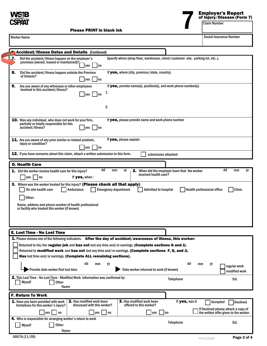<span id="page-2-0"></span>

# **Employer's Report Employer's Report**<br>of Injury/Disease (Form 7)<br>Claim Number

| <b>Worker Name</b>      |                                                                                                                                                                                                                                                                                                                                                                                                                                                                                                                                                  |                            | <b>Social Insurance Number</b>                  |
|-------------------------|--------------------------------------------------------------------------------------------------------------------------------------------------------------------------------------------------------------------------------------------------------------------------------------------------------------------------------------------------------------------------------------------------------------------------------------------------------------------------------------------------------------------------------------------------|----------------------------|-------------------------------------------------|
|                         | <b>Accident/Illness Dates and Details (Continued)</b>                                                                                                                                                                                                                                                                                                                                                                                                                                                                                            |                            |                                                 |
| stant<br>$\overline{a}$ | Specify where (shop floor, warehouse, client/customer site, parking lot, etc).<br>Did the accident/illness happen on the employer's<br>premises (owned, leased or maintained)?-<br>yes<br>l no                                                                                                                                                                                                                                                                                                                                                   |                            |                                                 |
| 8.                      | If yes, where (city, province/state, country).<br>Did the accident/illness happen outside the Province<br>of Ontario?<br>$ yes $ $ no$                                                                                                                                                                                                                                                                                                                                                                                                           |                            |                                                 |
| 9.                      | If yes, provide name(s), position(s), and work phone number(s).<br>Are you aware of any witnesses or other employees<br>involved in this accident/illness?<br>$\n  ves\n$<br>l Ino<br>2.                                                                                                                                                                                                                                                                                                                                                         |                            |                                                 |
|                         | <b>10.</b> Was any individual, who does not work for your firm,<br>If yes, please provide name and work phone number<br>partially or totally responsible for this<br>accident/illness?<br><b>ves</b><br>  no                                                                                                                                                                                                                                                                                                                                     |                            |                                                 |
|                         | If yes, please explain<br>11. Are you aware of any prior similar or related problem,<br>injury or condition?<br>yes<br>– I no                                                                                                                                                                                                                                                                                                                                                                                                                    |                            |                                                 |
|                         | 12. If you have concerns about this claim, attach a written submission to this form.<br>submission attached                                                                                                                                                                                                                                                                                                                                                                                                                                      |                            |                                                 |
|                         | <b>Emergency department</b><br>Other:<br>Name, address and phone number of health professional<br>or facility who treated this worker (if known)                                                                                                                                                                                                                                                                                                                                                                                                 | Health professional office |                                                 |
|                         | E. Lost Time - No Lost Time<br>1. Please choose one of the following indicators. After the day of accident/awareness of illness, this worker:<br>Returned to his/her regular job and has not lost any time and/or earnings. (Complete sections G and J).<br>Returned to modified work and has not lost any time and/or earnings. (Complete sections F, G, and J).<br>Has lost time and/or earnings. (Complete ALL remaining sections).<br>dd<br>dd<br>mm<br>уy<br>Provide date worker first lost time<br>Date worker returned to work (if known) | mm<br>уу                   | regular work<br>modified work                   |
|                         | 2. This Lost Time - No Lost Time - Modified Work information was confirmed by:<br><b>Telephone</b><br>Myself<br><b>Other</b><br>Name                                                                                                                                                                                                                                                                                                                                                                                                             |                            | Ext.                                            |
|                         | <b>F. Return To Work</b>                                                                                                                                                                                                                                                                                                                                                                                                                                                                                                                         |                            |                                                 |
|                         | <b>2.</b> Has modified work been<br><b>3.</b> Has modified work been<br>1. Have you been provided with work<br>If yes, was it<br>limitations for this worker's injury?<br>discussed with this worker?<br>offered to this worker?                                                                                                                                                                                                                                                                                                                 | Accepted                   | Declined<br>If Declined please attach a copy of |
|                         | $ yes $   no<br> yes    no<br>yes  <br>  no<br>4. Who is responsible for arranging worker's return to work                                                                                                                                                                                                                                                                                                                                                                                                                                       |                            | the written offer given to the worker.          |
|                         | <b>Telephone</b><br>Other<br><b>Myself</b><br>Name …                                                                                                                                                                                                                                                                                                                                                                                                                                                                                             |                            | Ext.                                            |
|                         | 0007A (11/05)                                                                                                                                                                                                                                                                                                                                                                                                                                                                                                                                    | next page                  | Page 2 of 4                                     |

Please PRINT in black ink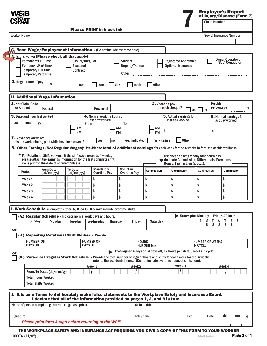<span id="page-3-0"></span>

|  | <b>Employer's Report<br/>of Injury/Disease (Form 7)</b> |
|--|---------------------------------------------------------|
|  | <b>Claim Number</b>                                     |

|                                                                                                                      |                                                                                                                                                                                            |                                          |                                                                                                                                              |                                                                                                                                            |                        |                                                                                           |                                           | <b>Social Insurance Number</b>               |
|----------------------------------------------------------------------------------------------------------------------|--------------------------------------------------------------------------------------------------------------------------------------------------------------------------------------------|------------------------------------------|----------------------------------------------------------------------------------------------------------------------------------------------|--------------------------------------------------------------------------------------------------------------------------------------------|------------------------|-------------------------------------------------------------------------------------------|-------------------------------------------|----------------------------------------------|
|                                                                                                                      |                                                                                                                                                                                            |                                          | G. Base Wage/Employment Information - (Do not include overtime here)                                                                         |                                                                                                                                            |                        |                                                                                           |                                           |                                              |
| <b>Permanent Full Time</b><br><b>Permanent Part Time</b><br><b>Temporary Full Time</b><br><b>Temporary Part Time</b> | $1.1$ . Is this worker (Please check all that apply)                                                                                                                                       | Casual/Irregular<br>Seasonal<br>Contract |                                                                                                                                              | <b>Student</b><br>Unpaid/Trainee<br><b>Other</b>                                                                                           |                        | <b>Registered Apprentice</b><br><b>Optional Insurance</b>                                 |                                           | <b>Owner Operator or</b><br>(Sub) Contractor |
| 2. Regular rate of pay                                                                                               | \$                                                                                                                                                                                         | per                                      | hour                                                                                                                                         | day<br>week                                                                                                                                | other                  |                                                                                           |                                           |                                              |
|                                                                                                                      | <b>H. Additional Wage Information</b>                                                                                                                                                      |                                          |                                                                                                                                              |                                                                                                                                            |                        |                                                                                           |                                           |                                              |
| 1. Net Claim Code<br>or Amount                                                                                       | Federal                                                                                                                                                                                    |                                          | Provincial                                                                                                                                   |                                                                                                                                            | <b>2.</b> Vacation pay | - on each cheque?                                                                         | $ yes $ $ no$                             | Provide<br>percentage                        |
| <b>3.</b> Date and hour last worked<br>dd<br>mm                                                                      | уy                                                                                                                                                                                         |                                          | 4. Normal working hours on<br>last day worked<br><b>From</b>                                                                                 | To                                                                                                                                         |                        | 5. Actual earnings for<br>last day worked                                                 |                                           | 6. Normal earnings for<br>last day worked    |
|                                                                                                                      |                                                                                                                                                                                            | AM<br>PM                                 |                                                                                                                                              | AM<br><b>PM</b>                                                                                                                            | AM<br>\$<br><b>PM</b>  |                                                                                           |                                           | \$                                           |
| <b>7.</b> Advances on wages:                                                                                         | Is the worker being paid while he/she recovers?                                                                                                                                            |                                          | yes<br>Ino                                                                                                                                   | If yes, indicate:                                                                                                                          | Full/Regular           | Other                                                                                     |                                           |                                              |
|                                                                                                                      | * For Rotational Shift workers - If the shift cycle exceeds 4 weeks,<br>please attach the earnings information for the last complete shift<br>cycle prior to the date of accident/illness. |                                          |                                                                                                                                              | 8. Other Earnings (Not Regular Wages): Provide the total of additional earnings for each week for the 4 weeks before the accident/illness. |                        | Use these spaces for any other earnings<br>(indicate Commission, Differentials, Premiums, |                                           |                                              |
| Period                                                                                                               | <b>From Date</b><br>(dd/mm/yy)                                                                                                                                                             | <b>To Date</b><br>(dd/mm/yy)             | Mandatory<br>Overtime Pay                                                                                                                    | <b>Voluntary</b><br><b>Overtime Pay</b>                                                                                                    | Commission             | Bonus, Tips, In Lieu %, etc).<br>Commission                                               | Commission                                | <b>Commission</b>                            |
| Week 1                                                                                                               |                                                                                                                                                                                            |                                          | \$                                                                                                                                           | \$                                                                                                                                         | \$                     | \$                                                                                        | \$                                        | \$                                           |
| Week 2                                                                                                               |                                                                                                                                                                                            |                                          | \$                                                                                                                                           | \$                                                                                                                                         | \$                     | \$                                                                                        | \$                                        | \$                                           |
| Week 3<br>Week 4                                                                                                     |                                                                                                                                                                                            |                                          | \$<br>\$                                                                                                                                     | \$<br>\$                                                                                                                                   | \$<br>\$               | \$<br>\$                                                                                  | \$<br>\$                                  | \$<br>\$                                     |
|                                                                                                                      |                                                                                                                                                                                            |                                          |                                                                                                                                              |                                                                                                                                            |                        |                                                                                           |                                           |                                              |
|                                                                                                                      |                                                                                                                                                                                            |                                          | I. Work Schedule (Complete either A, B or C. Do not include overtime shifts)<br>(A.) Regular Schedule - Indicate normal work days and hours. |                                                                                                                                            |                        |                                                                                           |                                           | Example: Monday to Friday, 40 hours          |
| Sunday                                                                                                               | Monday                                                                                                                                                                                     | Tuesday                                  | Wednesday                                                                                                                                    | <b>Thursday</b><br>Friday                                                                                                                  | Saturday               |                                                                                           | s<br>M                                    | W<br>$F \mid S$<br>Т                         |
| or,                                                                                                                  |                                                                                                                                                                                            |                                          |                                                                                                                                              |                                                                                                                                            |                        |                                                                                           | 8                                         | 8<br>8<br>8 <sup>1</sup><br>8                |
|                                                                                                                      | (B.) Repeating Rotational Shift Worker - Provide                                                                                                                                           |                                          |                                                                                                                                              |                                                                                                                                            |                        |                                                                                           |                                           |                                              |
| <b>NUMBER OF</b>                                                                                                     |                                                                                                                                                                                            |                                          | <b>NUMBER OF</b><br><b>DAYS OFF</b>                                                                                                          | <b>HOURS</b>                                                                                                                               | PER SHIFT(s)           |                                                                                           | <b>NUMBER OF WEEKS</b><br><b>IN CYCLE</b> |                                              |
| <b>DAYS ON</b>                                                                                                       |                                                                                                                                                                                            |                                          |                                                                                                                                              | <b>Example:</b> 4 days on, 4 days off, 12 hours per shift, 8 weeks in cycle.                                                               |                        |                                                                                           |                                           |                                              |
|                                                                                                                      |                                                                                                                                                                                            |                                          |                                                                                                                                              |                                                                                                                                            |                        |                                                                                           |                                           |                                              |
|                                                                                                                      |                                                                                                                                                                                            |                                          | Varied or Irregular Work Schedule - Provide the total number of regular hours and shifts for each week for the 4 weeks                       | prior to the accident/illness. (Do not include overtime hours or shifts here).                                                             |                        |                                                                                           |                                           |                                              |
|                                                                                                                      |                                                                                                                                                                                            |                                          | Week 1                                                                                                                                       | Week <sub>2</sub>                                                                                                                          |                        | Week <sub>3</sub>                                                                         |                                           | Week 4                                       |
|                                                                                                                      | From/To Dates (dd/mm/yy)                                                                                                                                                                   |                                          |                                                                                                                                              |                                                                                                                                            |                        | I                                                                                         |                                           |                                              |
|                                                                                                                      | <b>Total Hours Worked</b>                                                                                                                                                                  |                                          |                                                                                                                                              |                                                                                                                                            |                        |                                                                                           |                                           |                                              |
|                                                                                                                      | <b>Total Shifts Worked</b>                                                                                                                                                                 |                                          |                                                                                                                                              |                                                                                                                                            |                        |                                                                                           |                                           |                                              |
|                                                                                                                      |                                                                                                                                                                                            |                                          |                                                                                                                                              | J. It is an offence to deliberately make false statements to the Workplace Safety and Insurance Board.                                     |                        |                                                                                           |                                           |                                              |
|                                                                                                                      | Name of person completing this report (please print)                                                                                                                                       |                                          |                                                                                                                                              | I declare that all of the information provided on pages 1, 2, and 3 is true.                                                               | <b>Official title</b>  |                                                                                           |                                           |                                              |
|                                                                                                                      |                                                                                                                                                                                            |                                          |                                                                                                                                              |                                                                                                                                            |                        |                                                                                           |                                           | dd<br>mm                                     |
| <b>Signature</b>                                                                                                     |                                                                                                                                                                                            |                                          | Please print form & sign before returning to the WSIB                                                                                        | Telephone                                                                                                                                  |                        | Ext.                                                                                      |                                           | Date                                         |

THE WORKPLACE SAFETY AND INSURANCE ACT REQUIRES YOU GIVE A COPY OF THIS FORM TO YOUR WORKER<br>Page Page 0007A (11/05)